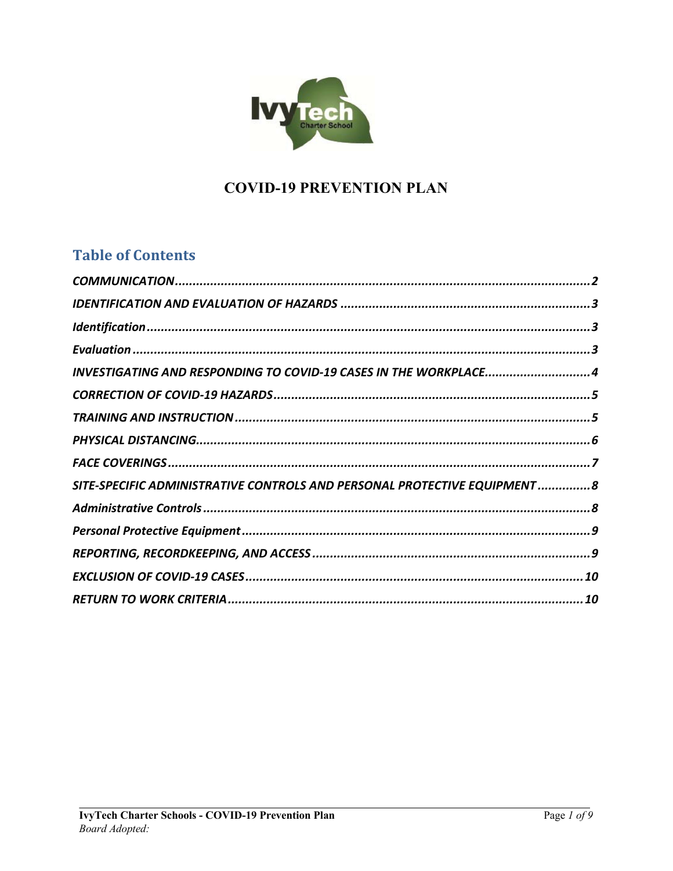

# **COVID-19 PREVENTION PLAN**

## **Table of Contents**

| INVESTIGATING AND RESPONDING TO COVID-19 CASES IN THE WORKPLACE4           |  |
|----------------------------------------------------------------------------|--|
|                                                                            |  |
|                                                                            |  |
|                                                                            |  |
|                                                                            |  |
| SITE-SPECIFIC ADMINISTRATIVE CONTROLS AND PERSONAL PROTECTIVE EQUIPMENT  8 |  |
|                                                                            |  |
|                                                                            |  |
|                                                                            |  |
|                                                                            |  |
|                                                                            |  |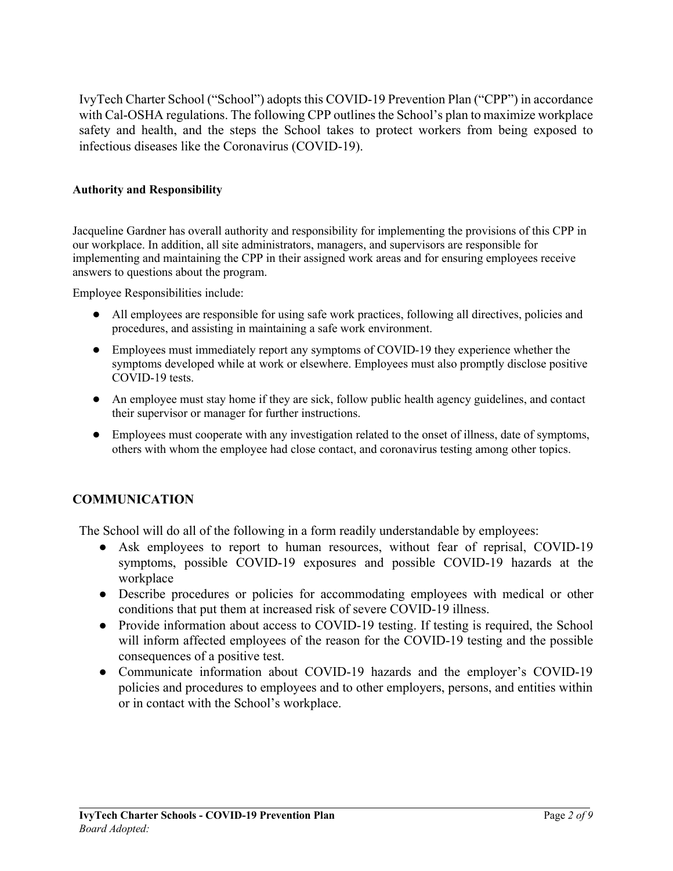IvyTech Charter School ("School") adopts this COVID-19 Prevention Plan ("CPP") in accordance with Cal-OSHA regulations. The following CPP outlines the School's plan to maximize workplace safety and health, and the steps the School takes to protect workers from being exposed to infectious diseases like the Coronavirus (COVID-19).

#### **Authority and Responsibility**

Jacqueline Gardner has overall authority and responsibility for implementing the provisions of this CPP in our workplace. In addition, all site administrators, managers, and supervisors are responsible for implementing and maintaining the CPP in their assigned work areas and for ensuring employees receive answers to questions about the program.

Employee Responsibilities include:

- All employees are responsible for using safe work practices, following all directives, policies and procedures, and assisting in maintaining a safe work environment.
- Employees must immediately report any symptoms of COVID-19 they experience whether the symptoms developed while at work or elsewhere. Employees must also promptly disclose positive COVID-19 tests.
- An employee must stay home if they are sick, follow public health agency guidelines, and contact their supervisor or manager for further instructions.
- Employees must cooperate with any investigation related to the onset of illness, date of symptoms, others with whom the employee had close contact, and coronavirus testing among other topics.

#### **COMMUNICATION**

The School will do all of the following in a form readily understandable by employees:

- Ask employees to report to human resources, without fear of reprisal, COVID-19 symptoms, possible COVID-19 exposures and possible COVID-19 hazards at the workplace
- Describe procedures or policies for accommodating employees with medical or other conditions that put them at increased risk of severe COVID-19 illness.
- Provide information about access to COVID-19 testing. If testing is required, the School will inform affected employees of the reason for the COVID-19 testing and the possible consequences of a positive test.
- Communicate information about COVID-19 hazards and the employer's COVID-19 policies and procedures to employees and to other employers, persons, and entities within or in contact with the School's workplace.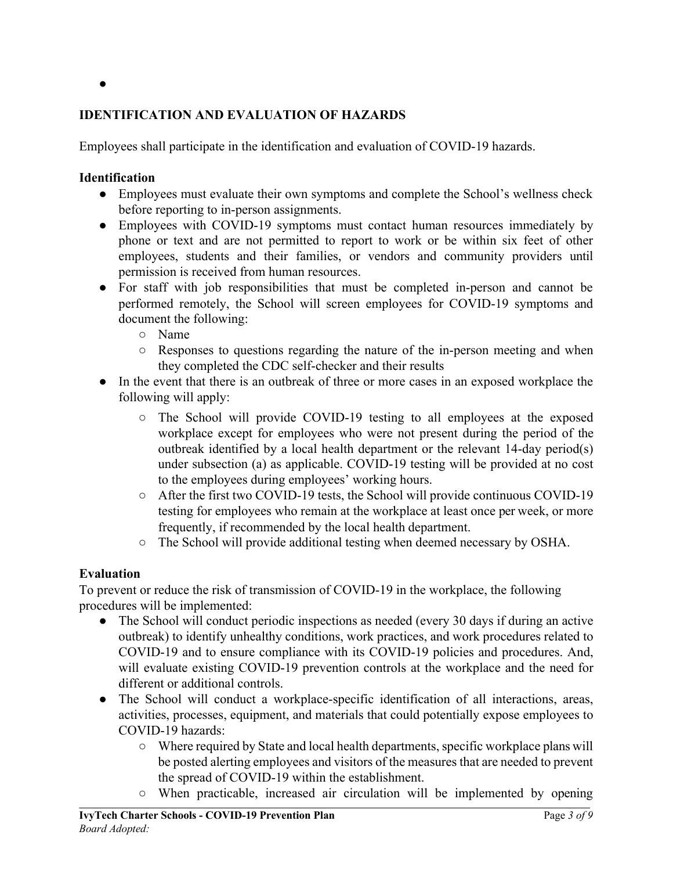#### ●

### **IDENTIFICATION AND EVALUATION OF HAZARDS**

Employees shall participate in the identification and evaluation of COVID-19 hazards.

#### **Identification**

- Employees must evaluate their own symptoms and complete the School's wellness check before reporting to in-person assignments.
- Employees with COVID-19 symptoms must contact human resources immediately by phone or text and are not permitted to report to work or be within six feet of other employees, students and their families, or vendors and community providers until permission is received from human resources.
- For staff with job responsibilities that must be completed in-person and cannot be performed remotely, the School will screen employees for COVID-19 symptoms and document the following:
	- Name
	- Responses to questions regarding the nature of the in-person meeting and when they completed the CDC self-checker and their results
- In the event that there is an outbreak of three or more cases in an exposed workplace the following will apply:
	- The School will provide COVID-19 testing to all employees at the exposed workplace except for employees who were not present during the period of the outbreak identified by a local health department or the relevant 14-day period(s) under subsection (a) as applicable. COVID-19 testing will be provided at no cost to the employees during employees' working hours.
	- After the first two COVID-19 tests, the School will provide continuous COVID-19 testing for employees who remain at the workplace at least once per week, or more frequently, if recommended by the local health department.
	- The School will provide additional testing when deemed necessary by OSHA.

#### **Evaluation**

To prevent or reduce the risk of transmission of COVID-19 in the workplace, the following procedures will be implemented:

- The School will conduct periodic inspections as needed (every 30 days if during an active outbreak) to identify unhealthy conditions, work practices, and work procedures related to COVID-19 and to ensure compliance with its COVID-19 policies and procedures. And, will evaluate existing COVID-19 prevention controls at the workplace and the need for different or additional controls.
- The School will conduct a workplace-specific identification of all interactions, areas, activities, processes, equipment, and materials that could potentially expose employees to COVID-19 hazards:
	- Where required by State and local health departments, specific workplace plans will be posted alerting employees and visitors of the measures that are needed to prevent the spread of COVID-19 within the establishment.
	- When practicable, increased air circulation will be implemented by opening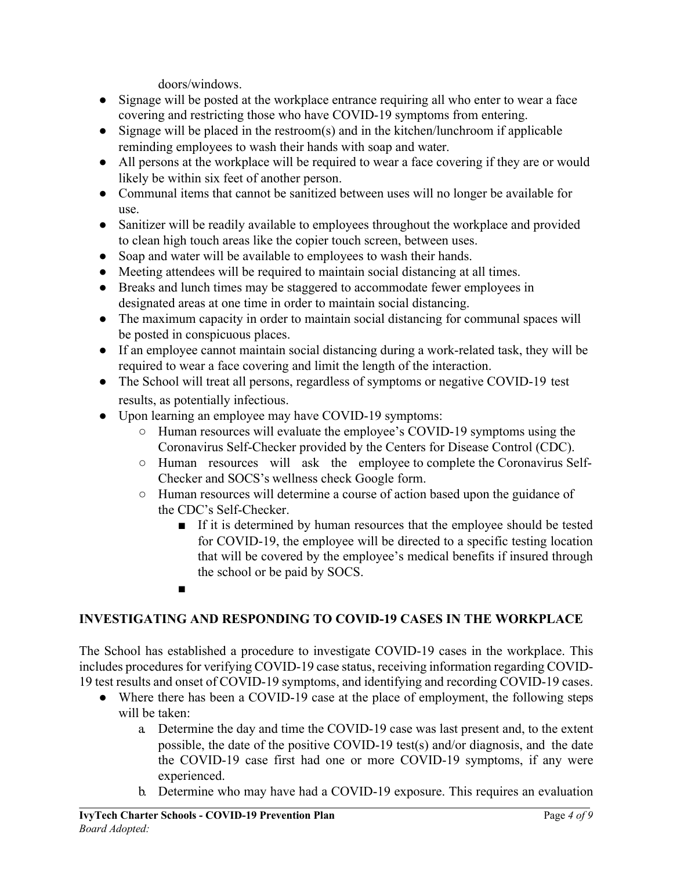doors/windows.

- Signage will be posted at the workplace entrance requiring all who enter to wear a face covering and restricting those who have COVID-19 symptoms from entering.
- Signage will be placed in the restroom(s) and in the kitchen/lunchroom if applicable reminding employees to wash their hands with soap and water.
- All persons at the workplace will be required to wear a face covering if they are or would likely be within six feet of another person.
- Communal items that cannot be sanitized between uses will no longer be available for use.
- Sanitizer will be readily available to employees throughout the workplace and provided to clean high touch areas like the copier touch screen, between uses.
- Soap and water will be available to employees to wash their hands.
- Meeting attendees will be required to maintain social distancing at all times.
- Breaks and lunch times may be staggered to accommodate fewer employees in designated areas at one time in order to maintain social distancing.
- The maximum capacity in order to maintain social distancing for communal spaces will be posted in conspicuous places.
- If an employee cannot maintain social distancing during a work-related task, they will be required to wear a face covering and limit the length of the interaction.
- The School will treat all persons, regardless of symptoms or negative COVID-19 test results, as potentially infectious.
- Upon learning an employee may have COVID-19 symptoms:
	- Human resources will evaluate the employee's COVID-19 symptoms using the Coronavirus Self-Checker provided by the Centers for Disease Control (CDC).
	- Human resources will ask the employee to complete the Coronavirus Self-Checker and SOCS's wellness check Google form.
	- Human resources will determine a course of action based upon the guidance of the CDC's Self-Checker.
		- If it is determined by human resources that the employee should be tested for COVID-19, the employee will be directed to a specific testing location that will be covered by the employee's medical benefits if insured through the school or be paid by SOCS.
		- ■

#### **INVESTIGATING AND RESPONDING TO COVID-19 CASES IN THE WORKPLACE**

The School has established a procedure to investigate COVID-19 cases in the workplace. This includes procedures for verifying COVID-19 case status, receiving information regarding COVID-19 test results and onset of COVID-19 symptoms, and identifying and recording COVID-19 cases.

- Where there has been a COVID-19 case at the place of employment, the following steps will be taken:
	- a. Determine the day and time the COVID-19 case was last present and, to the extent possible, the date of the positive COVID-19 test(s) and/or diagnosis, and the date the COVID-19 case first had one or more COVID-19 symptoms, if any were experienced.
	- b. Determine who may have had a COVID-19 exposure. This requires an evaluation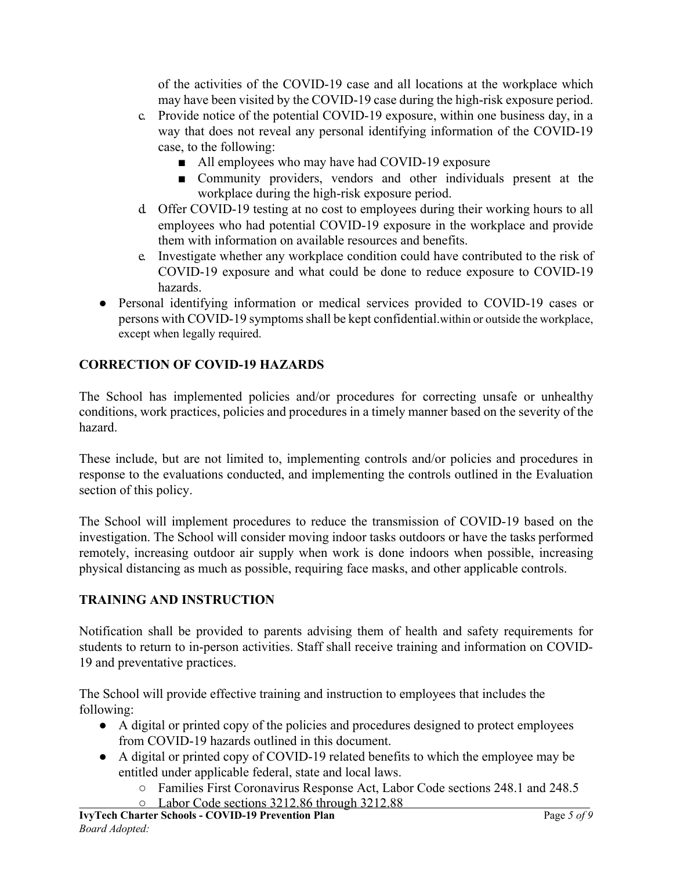of the activities of the COVID-19 case and all locations at the workplace which may have been visited by the COVID-19 case during the high-risk exposure period.

- c. Provide notice of the potential COVID-19 exposure, within one business day, in a way that does not reveal any personal identifying information of the COVID-19 case, to the following:
	- All employees who may have had COVID-19 exposure
	- Community providers, vendors and other individuals present at the workplace during the high-risk exposure period.
- d. Offer COVID-19 testing at no cost to employees during their working hours to all employees who had potential COVID-19 exposure in the workplace and provide them with information on available resources and benefits.
- e. Investigate whether any workplace condition could have contributed to the risk of COVID-19 exposure and what could be done to reduce exposure to COVID-19 hazards.
- Personal identifying information or medical services provided to COVID-19 cases or persons with COVID-19 symptoms shall be kept confidential.within or outside the workplace, except when legally required.

### **CORRECTION OF COVID-19 HAZARDS**

The School has implemented policies and/or procedures for correcting unsafe or unhealthy conditions, work practices, policies and procedures in a timely manner based on the severity of the hazard.

These include, but are not limited to, implementing controls and/or policies and procedures in response to the evaluations conducted, and implementing the controls outlined in the Evaluation section of this policy.

The School will implement procedures to reduce the transmission of COVID-19 based on the investigation. The School will consider moving indoor tasks outdoors or have the tasks performed remotely, increasing outdoor air supply when work is done indoors when possible, increasing physical distancing as much as possible, requiring face masks, and other applicable controls.

#### **TRAINING AND INSTRUCTION**

Notification shall be provided to parents advising them of health and safety requirements for students to return to in-person activities. Staff shall receive training and information on COVID-19 and preventative practices.

The School will provide effective training and instruction to employees that includes the following:

- A digital or printed copy of the policies and procedures designed to protect employees from COVID-19 hazards outlined in this document.
- A digital or printed copy of COVID-19 related benefits to which the employee may be entitled under applicable federal, state and local laws.
	- Families First Coronavirus Response Act, Labor Code sections 248.1 and 248.5 ○ Labor Code sections 3212.86 through 3212.88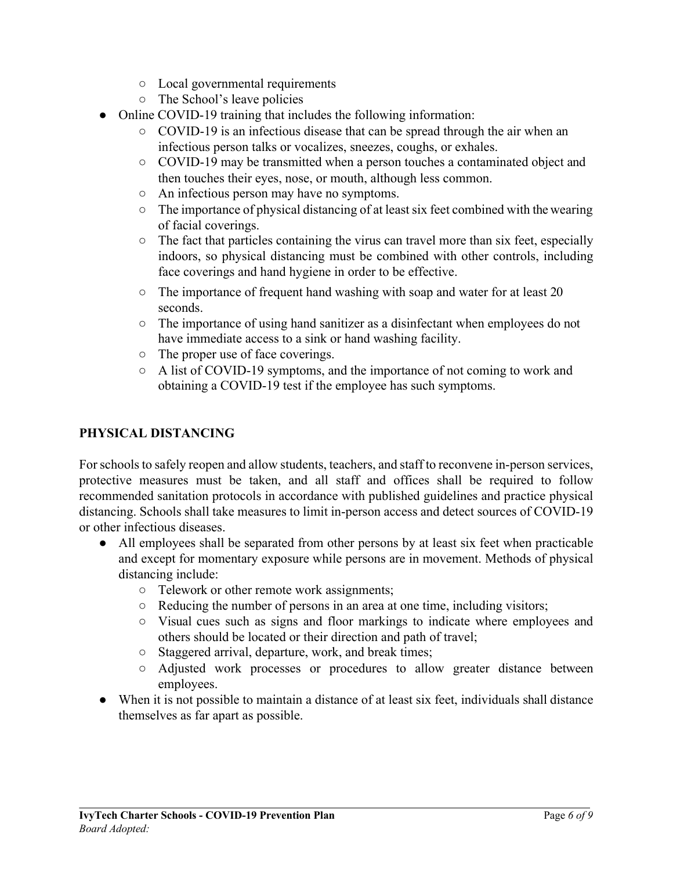- Local governmental requirements
- The School's leave policies
- Online COVID-19 training that includes the following information:
	- $\circ$  COVID-19 is an infectious disease that can be spread through the air when an infectious person talks or vocalizes, sneezes, coughs, or exhales.
	- COVID-19 may be transmitted when a person touches a contaminated object and then touches their eyes, nose, or mouth, although less common.
	- An infectious person may have no symptoms.
	- The importance of physical distancing of at least six feet combined with the wearing of facial coverings.
	- The fact that particles containing the virus can travel more than six feet, especially indoors, so physical distancing must be combined with other controls, including face coverings and hand hygiene in order to be effective.
	- $\circ$  The importance of frequent hand washing with soap and water for at least 20 seconds.
	- The importance of using hand sanitizer as a disinfectant when employees do not have immediate access to a sink or hand washing facility.
	- The proper use of face coverings.
	- A list of COVID-19 symptoms, and the importance of not coming to work and obtaining a COVID-19 test if the employee has such symptoms.

### **PHYSICAL DISTANCING**

For schools to safely reopen and allow students, teachers, and staff to reconvene in-person services, protective measures must be taken, and all staff and offices shall be required to follow recommended sanitation protocols in accordance with published guidelines and practice physical distancing. Schools shall take measures to limit in-person access and detect sources of COVID-19 or other infectious diseases.

- All employees shall be separated from other persons by at least six feet when practicable and except for momentary exposure while persons are in movement. Methods of physical distancing include:
	- Telework or other remote work assignments;
	- Reducing the number of persons in an area at one time, including visitors;
	- Visual cues such as signs and floor markings to indicate where employees and others should be located or their direction and path of travel;
	- Staggered arrival, departure, work, and break times;
	- Adjusted work processes or procedures to allow greater distance between employees.
- When it is not possible to maintain a distance of at least six feet, individuals shall distance themselves as far apart as possible.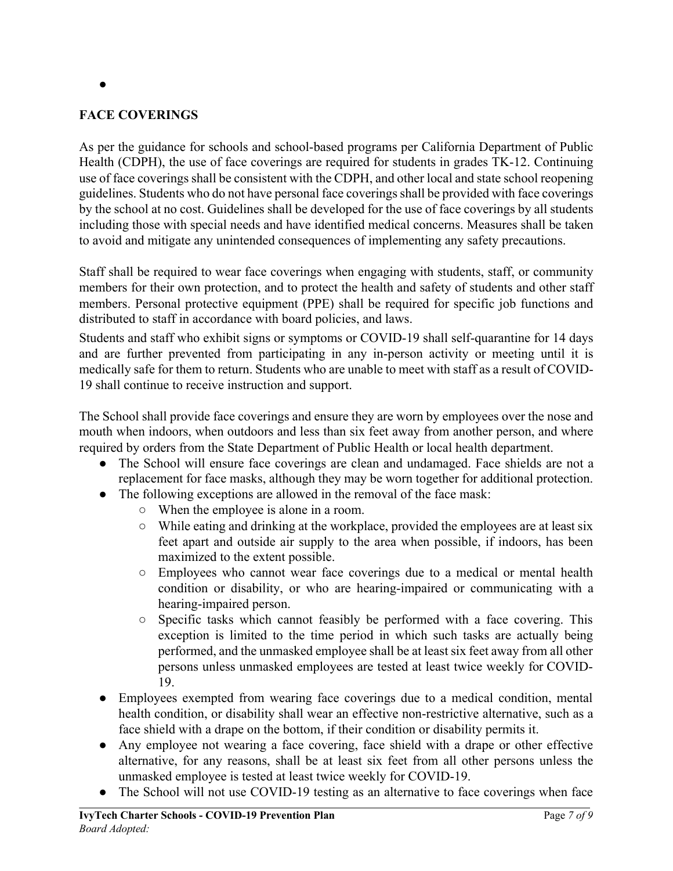#### **FACE COVERINGS**

●

As per the guidance for schools and school-based programs per California Department of Public Health (CDPH), the use of face coverings are required for students in grades TK-12. Continuing use of face coverings shall be consistent with the CDPH, and other local and state school reopening guidelines. Students who do not have personal face coverings shall be provided with face coverings by the school at no cost. Guidelines shall be developed for the use of face coverings by all students including those with special needs and have identified medical concerns. Measures shall be taken to avoid and mitigate any unintended consequences of implementing any safety precautions.

Staff shall be required to wear face coverings when engaging with students, staff, or community members for their own protection, and to protect the health and safety of students and other staff members. Personal protective equipment (PPE) shall be required for specific job functions and distributed to staff in accordance with board policies, and laws.

Students and staff who exhibit signs or symptoms or COVID-19 shall self-quarantine for 14 days and are further prevented from participating in any in-person activity or meeting until it is medically safe for them to return. Students who are unable to meet with staff as a result of COVID-19 shall continue to receive instruction and support.

The School shall provide face coverings and ensure they are worn by employees over the nose and mouth when indoors, when outdoors and less than six feet away from another person, and where required by orders from the State Department of Public Health or local health department.

- The School will ensure face coverings are clean and undamaged. Face shields are not a replacement for face masks, although they may be worn together for additional protection.
- The following exceptions are allowed in the removal of the face mask:
	- When the employee is alone in a room.
	- While eating and drinking at the workplace, provided the employees are at least six feet apart and outside air supply to the area when possible, if indoors, has been maximized to the extent possible.
	- Employees who cannot wear face coverings due to a medical or mental health condition or disability, or who are hearing-impaired or communicating with a hearing-impaired person.
	- Specific tasks which cannot feasibly be performed with a face covering. This exception is limited to the time period in which such tasks are actually being performed, and the unmasked employee shall be at least six feet away from all other persons unless unmasked employees are tested at least twice weekly for COVID-19.
- Employees exempted from wearing face coverings due to a medical condition, mental health condition, or disability shall wear an effective non-restrictive alternative, such as a face shield with a drape on the bottom, if their condition or disability permits it.
- Any employee not wearing a face covering, face shield with a drape or other effective alternative, for any reasons, shall be at least six feet from all other persons unless the unmasked employee is tested at least twice weekly for COVID-19.
- The School will not use COVID-19 testing as an alternative to face coverings when face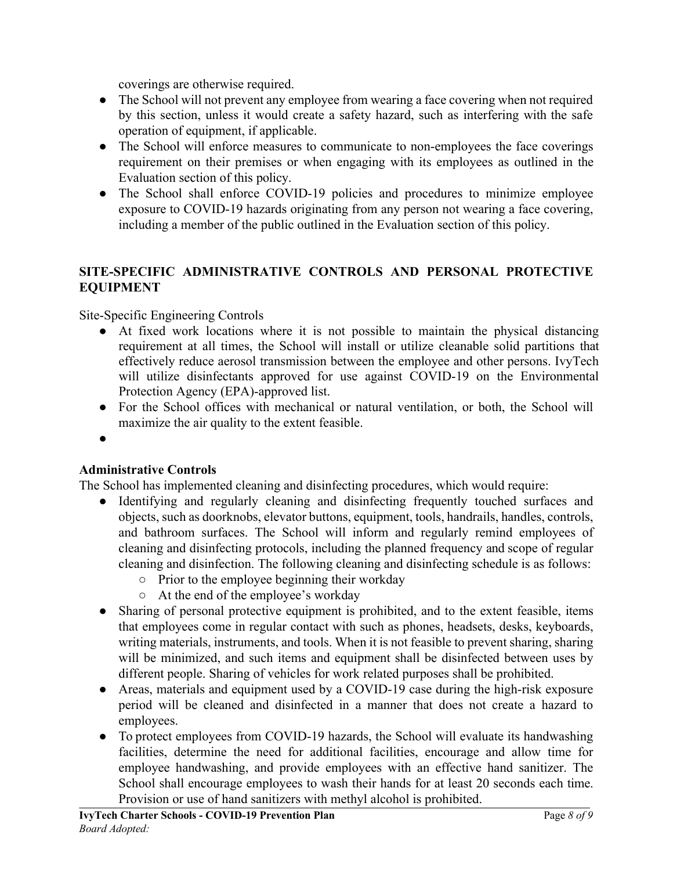coverings are otherwise required.

- The School will not prevent any employee from wearing a face covering when not required by this section, unless it would create a safety hazard, such as interfering with the safe operation of equipment, if applicable.
- The School will enforce measures to communicate to non-employees the face coverings requirement on their premises or when engaging with its employees as outlined in the Evaluation section of this policy.
- The School shall enforce COVID-19 policies and procedures to minimize employee exposure to COVID-19 hazards originating from any person not wearing a face covering, including a member of the public outlined in the Evaluation section of this policy.

### **SITE-SPECIFIC ADMINISTRATIVE CONTROLS AND PERSONAL PROTECTIVE EQUIPMENT**

Site-Specific Engineering Controls

- At fixed work locations where it is not possible to maintain the physical distancing requirement at all times, the School will install or utilize cleanable solid partitions that effectively reduce aerosol transmission between the employee and other persons. IvyTech will utilize disinfectants approved for use against COVID-19 on the Environmental Protection Agency (EPA)-approved list.
- For the School offices with mechanical or natural ventilation, or both, the School will maximize the air quality to the extent feasible.
- ●

#### **Administrative Controls**

The School has implemented cleaning and disinfecting procedures, which would require:

- Identifying and regularly cleaning and disinfecting frequently touched surfaces and objects, such as doorknobs, elevator buttons, equipment, tools, handrails, handles, controls, and bathroom surfaces. The School will inform and regularly remind employees of cleaning and disinfecting protocols, including the planned frequency and scope of regular cleaning and disinfection. The following cleaning and disinfecting schedule is as follows:
	- Prior to the employee beginning their workday
	- At the end of the employee's workday
- Sharing of personal protective equipment is prohibited, and to the extent feasible, items that employees come in regular contact with such as phones, headsets, desks, keyboards, writing materials, instruments, and tools. When it is not feasible to prevent sharing, sharing will be minimized, and such items and equipment shall be disinfected between uses by different people. Sharing of vehicles for work related purposes shall be prohibited.
- Areas, materials and equipment used by a COVID-19 case during the high-risk exposure period will be cleaned and disinfected in a manner that does not create a hazard to employees.
- To protect employees from COVID-19 hazards, the School will evaluate its handwashing facilities, determine the need for additional facilities, encourage and allow time for employee handwashing, and provide employees with an effective hand sanitizer. The School shall encourage employees to wash their hands for at least 20 seconds each time. Provision or use of hand sanitizers with methyl alcohol is prohibited.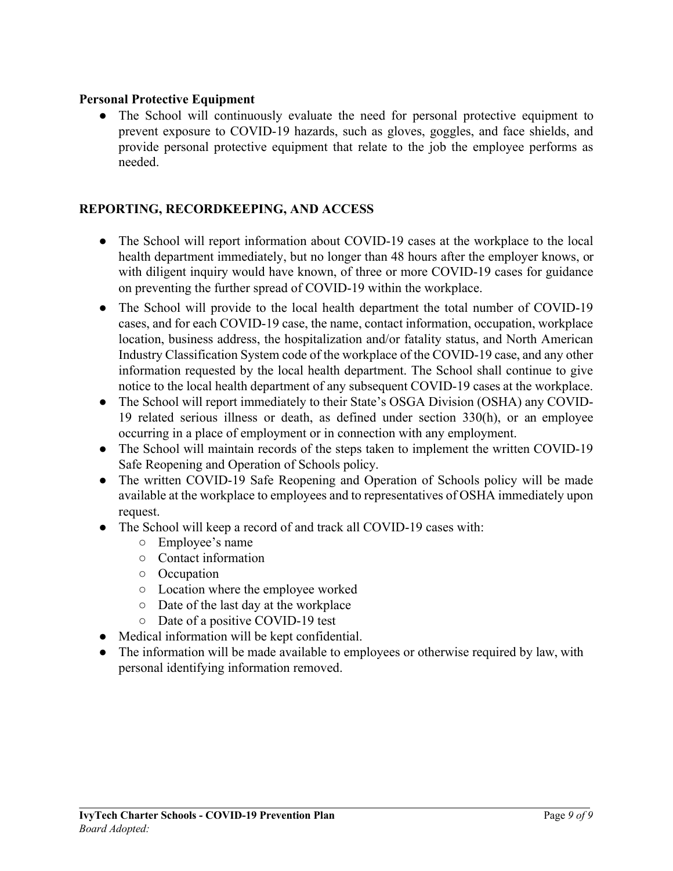#### **Personal Protective Equipment**

• The School will continuously evaluate the need for personal protective equipment to prevent exposure to COVID-19 hazards, such as gloves, goggles, and face shields, and provide personal protective equipment that relate to the job the employee performs as needed.

#### **REPORTING, RECORDKEEPING, AND ACCESS**

- The School will report information about COVID-19 cases at the workplace to the local health department immediately, but no longer than 48 hours after the employer knows, or with diligent inquiry would have known, of three or more COVID-19 cases for guidance on preventing the further spread of COVID-19 within the workplace.
- The School will provide to the local health department the total number of COVID-19 cases, and for each COVID-19 case, the name, contact information, occupation, workplace location, business address, the hospitalization and/or fatality status, and North American Industry Classification System code of the workplace of the COVID-19 case, and any other information requested by the local health department. The School shall continue to give notice to the local health department of any subsequent COVID-19 cases at the workplace.
- The School will report immediately to their State's OSGA Division (OSHA) any COVID-19 related serious illness or death, as defined under section 330(h), or an employee occurring in a place of employment or in connection with any employment.
- The School will maintain records of the steps taken to implement the written COVID-19 Safe Reopening and Operation of Schools policy.
- The written COVID-19 Safe Reopening and Operation of Schools policy will be made available at the workplace to employees and to representatives of OSHA immediately upon request.
- The School will keep a record of and track all COVID-19 cases with:
	- Employee's name
	- Contact information
	- Occupation
	- Location where the employee worked
	- Date of the last day at the workplace
	- Date of a positive COVID-19 test
- Medical information will be kept confidential.
- The information will be made available to employees or otherwise required by law, with personal identifying information removed.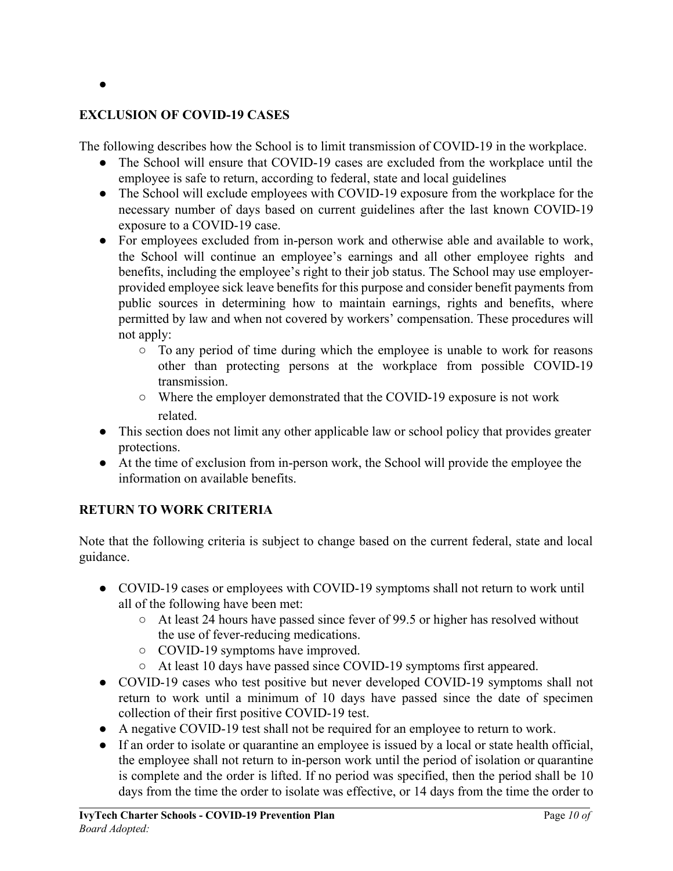#### ●

#### **EXCLUSION OF COVID-19 CASES**

The following describes how the School is to limit transmission of COVID-19 in the workplace.

- The School will ensure that COVID-19 cases are excluded from the workplace until the employee is safe to return, according to federal, state and local guidelines
- The School will exclude employees with COVID-19 exposure from the workplace for the necessary number of days based on current guidelines after the last known COVID-19 exposure to a COVID-19 case.
- For employees excluded from in-person work and otherwise able and available to work, the School will continue an employee's earnings and all other employee rights and benefits, including the employee's right to their job status. The School may use employerprovided employee sick leave benefits for this purpose and consider benefit payments from public sources in determining how to maintain earnings, rights and benefits, where permitted by law and when not covered by workers' compensation. These procedures will not apply:
	- To any period of time during which the employee is unable to work for reasons other than protecting persons at the workplace from possible COVID-19 transmission.
	- Where the employer demonstrated that the COVID-19 exposure is not work related.
- This section does not limit any other applicable law or school policy that provides greater protections.
- At the time of exclusion from in-person work, the School will provide the employee the information on available benefits.

#### **RETURN TO WORK CRITERIA**

Note that the following criteria is subject to change based on the current federal, state and local guidance.

- COVID-19 cases or employees with COVID-19 symptoms shall not return to work until all of the following have been met:
	- At least 24 hours have passed since fever of 99.5 or higher has resolved without the use of fever-reducing medications.
	- COVID-19 symptoms have improved.
	- At least 10 days have passed since COVID-19 symptoms first appeared.
- COVID-19 cases who test positive but never developed COVID-19 symptoms shall not return to work until a minimum of 10 days have passed since the date of specimen collection of their first positive COVID-19 test.
- A negative COVID-19 test shall not be required for an employee to return to work.
- If an order to isolate or quarantine an employee is issued by a local or state health official, the employee shall not return to in-person work until the period of isolation or quarantine is complete and the order is lifted. If no period was specified, then the period shall be 10 days from the time the order to isolate was effective, or 14 days from the time the order to